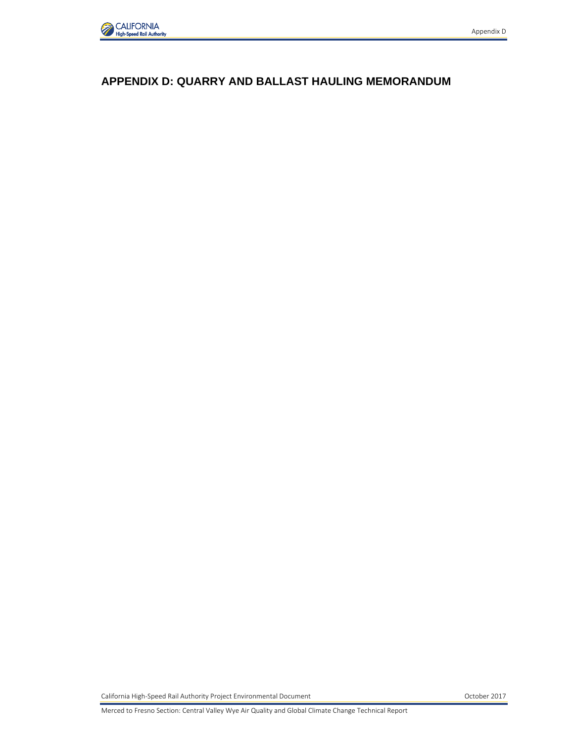

#### **APPENDIX D: QUARRY AND BALLAST HAULING MEMORANDUM**

California High-Speed Rail Authority Project Environmental Document October 2017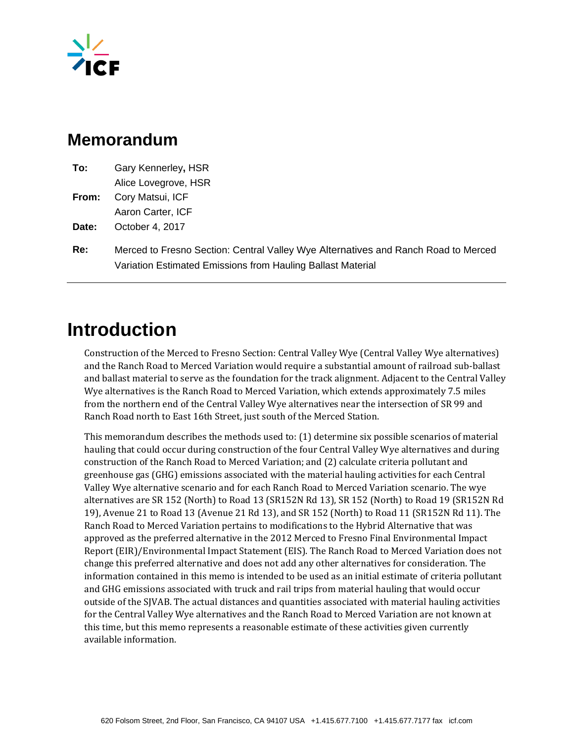

### **Memorandum**

| To:   | Gary Kennerley, HSR     |
|-------|-------------------------|
|       | Alice Lovegrove, HSR    |
| From: | Cory Matsui, ICF        |
|       | Aaron Carter, ICF       |
| Date: | October 4, 2017         |
|       | $M$ araad ta Fraana Caa |

**Re:** Merced to Fresno Section: Central Valley Wye Alternatives and Ranch Road to Merced Variation Estimated Emissions from Hauling Ballast Material

## **Introduction**

Construction of the Merced to Fresno Section: Central Valley Wye (Central Valley Wye alternatives) and the Ranch Road to Merced Variation would require a substantial amount of railroad sub-ballast and ballast material to serve as the foundation for the track alignment. Adjacent to the Central Valley Wye alternatives is the Ranch Road to Merced Variation, which extends approximately 7.5 miles from the northern end of the Central Valley Wye alternatives near the intersection of SR 99 and Ranch Road north to East 16th Street, just south of the Merced Station.

This memorandum describes the methods used to: (1) determine six possible scenarios of material hauling that could occur during construction of the four Central Valley Wye alternatives and during construction of the Ranch Road to Merced Variation; and (2) calculate criteria pollutant and greenhouse gas (GHG) emissions associated with the material hauling activities for each Central Valley Wye alternative scenario and for each Ranch Road to Merced Variation scenario. The wye alternatives are SR 152 (North) to Road 13 (SR152N Rd 13), SR 152 (North) to Road 19 (SR152N Rd 19), Avenue 21 to Road 13 (Avenue 21 Rd 13), and SR 152 (North) to Road 11 (SR152N Rd 11). The Ranch Road to Merced Variation pertains to modifications to the Hybrid Alternative that was approved as the preferred alternative in the 2012 Merced to Fresno Final Environmental Impact Report (EIR)/Environmental Impact Statement (EIS). The Ranch Road to Merced Variation does not change this preferred alternative and does not add any other alternatives for consideration. The information contained in this memo is intended to be used as an initial estimate of criteria pollutant and GHG emissions associated with truck and rail trips from material hauling that would occur outside of the SJVAB. The actual distances and quantities associated with material hauling activities for the Central Valley Wye alternatives and the Ranch Road to Merced Variation are not known at this time, but this memo represents a reasonable estimate of these activities given currently available information.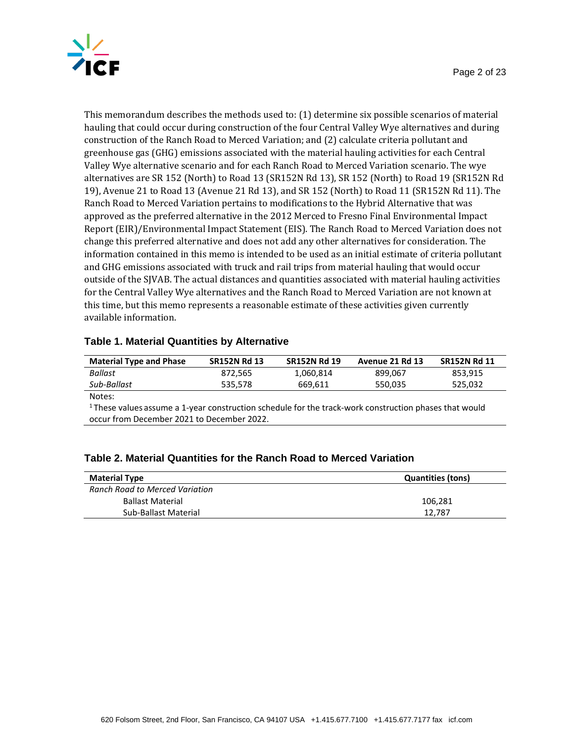

This memorandum describes the methods used to: (1) determine six possible scenarios of material hauling that could occur during construction of the four Central Valley Wye alternatives and during construction of the Ranch Road to Merced Variation; and (2) calculate criteria pollutant and greenhouse gas (GHG) emissions associated with the material hauling activities for each Central Valley Wye alternative scenario and for each Ranch Road to Merced Variation scenario. The wye alternatives are SR 152 (North) to Road 13 (SR152N Rd 13), SR 152 (North) to Road 19 (SR152N Rd 19), Avenue 21 to Road 13 (Avenue 21 Rd 13), and SR 152 (North) to Road 11 (SR152N Rd 11). The Ranch Road to Merced Variation pertains to modifications to the Hybrid Alternative that was approved as the preferred alternative in the 2012 Merced to Fresno Final Environmental Impact Report (EIR)/Environmental Impact Statement (EIS). The Ranch Road to Merced Variation does not change this preferred alternative and does not add any other alternatives for consideration. The information contained in this memo is intended to be used as an initial estimate of criteria pollutant and GHG emissions associated with truck and rail trips from material hauling that would occur outside of the SJVAB. The actual distances and quantities associated with material hauling activities for the Central Valley Wye alternatives and the Ranch Road to Merced Variation are not known at this time, but this memo represents a reasonable estimate of these activities given currently available information.

#### **Table 1. Material Quantities by Alternative**

| <b>Material Type and Phase</b> | <b>SR152N Rd 13</b> | <b>SR152N Rd 19</b> | Avenue 21 Rd 13 | <b>SR152N Rd 11</b> |
|--------------------------------|---------------------|---------------------|-----------------|---------------------|
| Ballast                        | 872.565             | 1.060.814           | 899.067         | 853.915             |
| Sub-Ballast                    | 535.578             | 669.611             | 550,035         | 525,032             |
| $N$ ator $\cdot$               |                     |                     |                 |                     |

Notes:

<sup>1</sup>These values assume a 1-year construction schedule for the track-work construction phases that would occur from December 2021 to December 2022.

| Table 2. Material Quantities for the Ranch Road to Merced Variation |
|---------------------------------------------------------------------|
|---------------------------------------------------------------------|

| <b>Material Type</b>           | <b>Quantities (tons)</b> |
|--------------------------------|--------------------------|
| Ranch Road to Merced Variation |                          |
| <b>Ballast Material</b>        | 106.281                  |
| Sub-Ballast Material           | 12.787                   |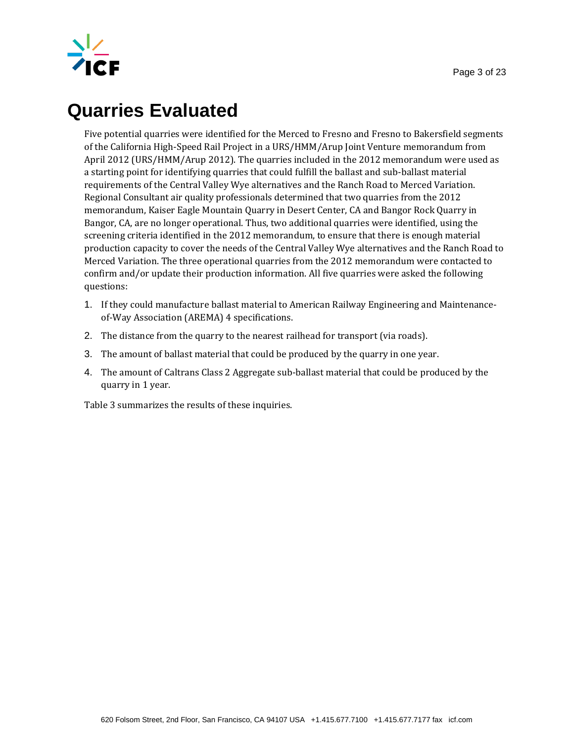

# **Quarries Evaluated**

Five potential quarries were identified for the Merced to Fresno and Fresno to Bakersfield segments of the California High-Speed Rail Project in a URS/HMM/Arup Joint Venture memorandum from April 2012 (URS/HMM/Arup 2012). The quarries included in the 2012 memorandum were used as a starting point for identifying quarries that could fulfill the ballast and sub-ballast material requirements of the Central Valley Wye alternatives and the Ranch Road to Merced Variation. Regional Consultant air quality professionals determined that two quarries from the 2012 memorandum, Kaiser Eagle Mountain Quarry in Desert Center, CA and Bangor Rock Quarry in Bangor, CA, are no longer operational. Thus, two additional quarries were identified, using the screening criteria identified in the 2012 memorandum, to ensure that there is enough material production capacity to cover the needs of the Central Valley Wye alternatives and the Ranch Road to Merced Variation. The three operational quarries from the 2012 memorandum were contacted to confirm and/or update their production information. All five quarries were asked the following questions:

- 1. If they could manufacture ballast material to American Railway Engineering and Maintenanceof-Way Association (AREMA) 4 specifications.
- 2. The distance from the quarry to the nearest railhead for transport (via roads).
- 3. The amount of ballast material that could be produced by the quarry in one year.
- 4. The amount of Caltrans Class 2 Aggregate sub-ballast material that could be produced by the quarry in 1 year.

Table 3 summarizes the results of these inquiries.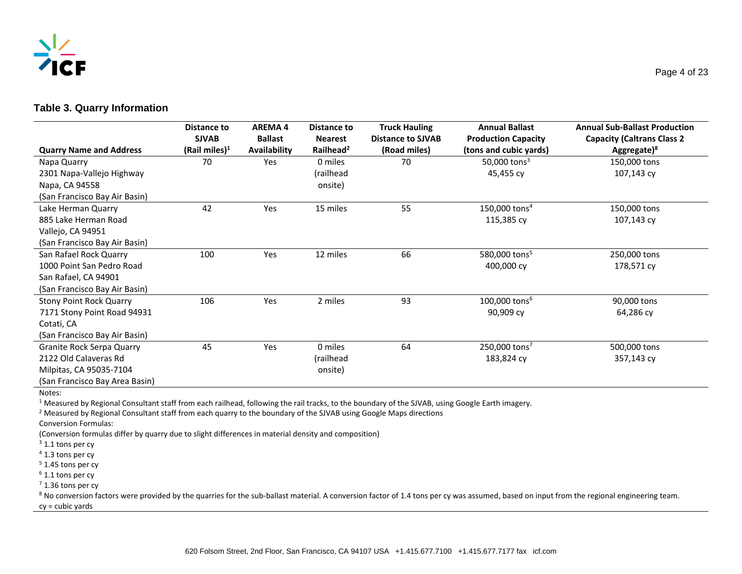

#### **Table 3. Quarry Information**

|                                | Distance to       | <b>AREMA4</b>  | Distance to           | <b>Truck Hauling</b>     | <b>Annual Ballast</b>       | <b>Annual Sub-Ballast Production</b> |
|--------------------------------|-------------------|----------------|-----------------------|--------------------------|-----------------------------|--------------------------------------|
|                                | <b>SJVAB</b>      | <b>Ballast</b> | <b>Nearest</b>        | <b>Distance to SJVAB</b> | <b>Production Capacity</b>  | <b>Capacity (Caltrans Class 2</b>    |
| <b>Quarry Name and Address</b> | (Rail miles) $^1$ | Availability   | Railhead <sup>2</sup> | (Road miles)             | (tons and cubic yards)      | Aggregate) <sup>8</sup>              |
| Napa Quarry                    | 70                | Yes            | 0 miles               | 70                       | 50,000 tons <sup>3</sup>    | 150,000 tons                         |
| 2301 Napa-Vallejo Highway      |                   |                | (railhead             |                          | 45,455 cy                   | 107,143 cy                           |
| Napa, CA 94558                 |                   |                | onsite)               |                          |                             |                                      |
| (San Francisco Bay Air Basin)  |                   |                |                       |                          |                             |                                      |
| Lake Herman Quarry             | 42                | Yes            | 15 miles              | 55                       | 150,000 tons $4$            | 150,000 tons                         |
| 885 Lake Herman Road           |                   |                |                       |                          | 115,385 cy                  | 107,143 cy                           |
| Vallejo, CA 94951              |                   |                |                       |                          |                             |                                      |
| (San Francisco Bay Air Basin)  |                   |                |                       |                          |                             |                                      |
| San Rafael Rock Quarry         | 100               | Yes            | 12 miles              | 66                       | 580,000 tons <sup>5</sup>   | 250,000 tons                         |
| 1000 Point San Pedro Road      |                   |                |                       |                          | 400,000 cy                  | 178,571 cy                           |
| San Rafael, CA 94901           |                   |                |                       |                          |                             |                                      |
| (San Francisco Bay Air Basin)  |                   |                |                       |                          |                             |                                      |
| <b>Stony Point Rock Quarry</b> | 106               | Yes            | 2 miles               | 93                       | $100,000$ tons <sup>6</sup> | 90,000 tons                          |
| 7171 Stony Point Road 94931    |                   |                |                       |                          | 90,909 cy                   | 64,286 cy                            |
| Cotati, CA                     |                   |                |                       |                          |                             |                                      |
| (San Francisco Bay Air Basin)  |                   |                |                       |                          |                             |                                      |
| Granite Rock Serpa Quarry      | 45                | Yes            | 0 miles               | 64                       | 250,000 tons <sup>7</sup>   | 500,000 tons                         |
| 2122 Old Calaveras Rd          |                   |                | (railhead             |                          | 183,824 cy                  | 357,143 cy                           |
| Milpitas, CA 95035-7104        |                   |                | onsite)               |                          |                             |                                      |
| (San Francisco Bay Area Basin) |                   |                |                       |                          |                             |                                      |

Notes:

<sup>1</sup> Measured by Regional Consultant staff from each railhead, following the rail tracks, to the boundary of the SJVAB, using Google Earth imagery.

<sup>2</sup> Measured by Regional Consultant staff from each quarry to the boundary of the SJVAB using Google Maps directions

Conversion Formulas:

(Conversion formulas differ by quarry due to slight differences in material density and composition)

 $3$  1.1 tons per cy

<sup>4</sup> 1.3 tons per cy

<sup>5</sup> 1.45 tons per cy

 $6$  1.1 tons per cy

 $7$  1.36 tons per cy

<sup>8</sup> No conversion factors were provided by the quarries for the sub-ballast material. A conversion factor of 1.4 tons per cy was assumed, based on input from the regional engineering team. cy = cubic yards

Page 4 of 23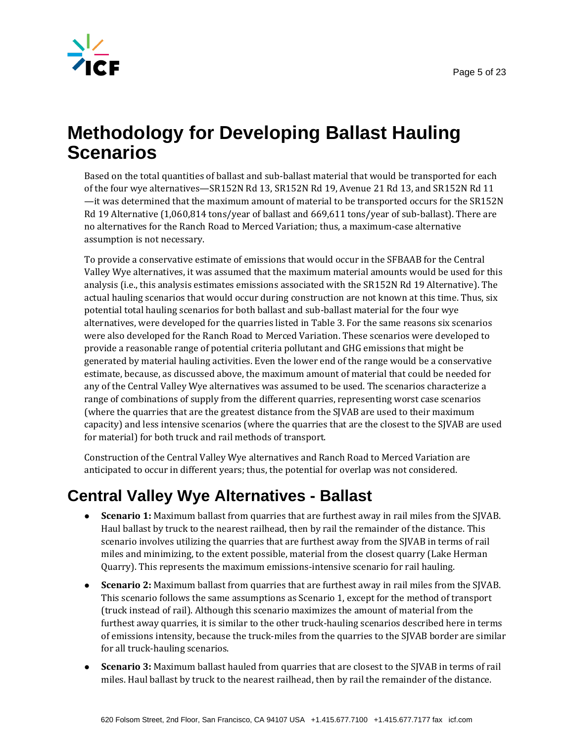

## **Methodology for Developing Ballast Hauling Scenarios**

Based on the total quantities of ballast and sub-ballast material that would be transported for each of the four wye alternatives—SR152N Rd 13, SR152N Rd 19, Avenue 21 Rd 13, and SR152N Rd 11 —it was determined that the maximum amount of material to be transported occurs for the SR152N Rd 19 Alternative (1,060,814 tons/year of ballast and 669,611 tons/year of sub-ballast). There are no alternatives for the Ranch Road to Merced Variation; thus, a maximum-case alternative assumption is not necessary.

To provide a conservative estimate of emissions that would occur in the SFBAAB for the Central Valley Wye alternatives, it was assumed that the maximum material amounts would be used for this analysis (i.e., this analysis estimates emissions associated with the SR152N Rd 19 Alternative). The actual hauling scenarios that would occur during construction are not known at this time. Thus, six potential total hauling scenarios for both ballast and sub-ballast material for the four wye alternatives, were developed for the quarries listed in Table 3. For the same reasons six scenarios were also developed for the Ranch Road to Merced Variation. These scenarios were developed to provide a reasonable range of potential criteria pollutant and GHG emissions that might be generated by material hauling activities. Even the lower end of the range would be a conservative estimate, because, as discussed above, the maximum amount of material that could be needed for any of the Central Valley Wye alternatives was assumed to be used. The scenarios characterize a range of combinations of supply from the different quarries, representing worst case scenarios (where the quarries that are the greatest distance from the SJVAB are used to their maximum capacity) and less intensive scenarios (where the quarries that are the closest to the SJVAB are used for material) for both truck and rail methods of transport.

Construction of the Central Valley Wye alternatives and Ranch Road to Merced Variation are anticipated to occur in different years; thus, the potential for overlap was not considered.

## **Central Valley Wye Alternatives - Ballast**

- **Scenario 1:** Maximum ballast from quarries that are furthest away in rail miles from the SJVAB. Haul ballast by truck to the nearest railhead, then by rail the remainder of the distance. This scenario involves utilizing the quarries that are furthest away from the SJVAB in terms of rail miles and minimizing, to the extent possible, material from the closest quarry (Lake Herman Quarry). This represents the maximum emissions-intensive scenario for rail hauling.
- **Scenario 2:** Maximum ballast from quarries that are furthest away in rail miles from the SJVAB. This scenario follows the same assumptions as Scenario 1, except for the method of transport (truck instead of rail). Although this scenario maximizes the amount of material from the furthest away quarries, it is similar to the other truck-hauling scenarios described here in terms of emissions intensity, because the truck-miles from the quarries to the SJVAB border are similar for all truck-hauling scenarios.
- **Scenario 3:** Maximum ballast hauled from quarries that are closest to the SJVAB in terms of rail miles. Haul ballast by truck to the nearest railhead, then by rail the remainder of the distance.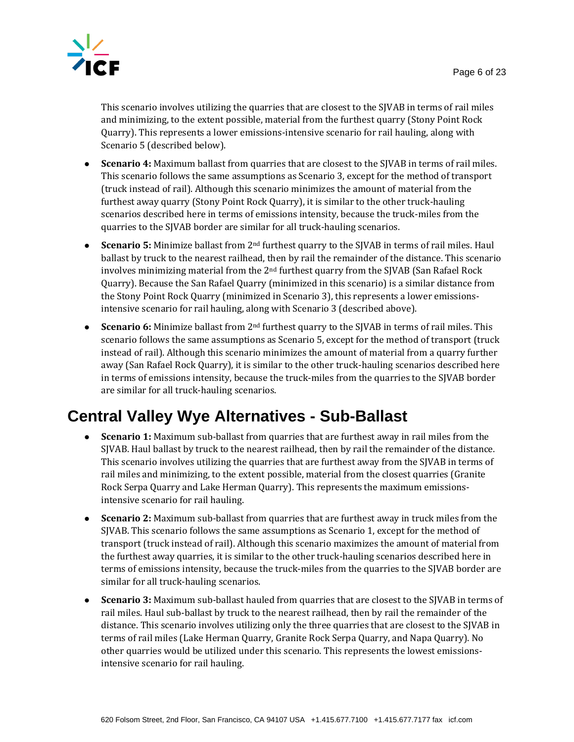

This scenario involves utilizing the quarries that are closest to the SJVAB in terms of rail miles and minimizing, to the extent possible, material from the furthest quarry (Stony Point Rock Quarry). This represents a lower emissions-intensive scenario for rail hauling, along with Scenario 5 (described below).

- **Scenario 4:** Maximum ballast from quarries that are closest to the SJVAB in terms of rail miles. This scenario follows the same assumptions as Scenario 3, except for the method of transport (truck instead of rail). Although this scenario minimizes the amount of material from the furthest away quarry (Stony Point Rock Quarry), it is similar to the other truck-hauling scenarios described here in terms of emissions intensity, because the truck-miles from the quarries to the SJVAB border are similar for all truck-hauling scenarios.
- **Scenario 5:** Minimize ballast from 2nd furthest quarry to the SJVAB in terms of rail miles. Haul ballast by truck to the nearest railhead, then by rail the remainder of the distance. This scenario involves minimizing material from the  $2<sup>nd</sup>$  furthest quarry from the SJVAB (San Rafael Rock Quarry). Because the San Rafael Quarry (minimized in this scenario) is a similar distance from the Stony Point Rock Quarry (minimized in Scenario 3), this represents a lower emissionsintensive scenario for rail hauling, along with Scenario 3 (described above).
- **Scenario 6:** Minimize ballast from 2nd furthest quarry to the SJVAB in terms of rail miles. This scenario follows the same assumptions as Scenario 5, except for the method of transport (truck instead of rail). Although this scenario minimizes the amount of material from a quarry further away (San Rafael Rock Quarry), it is similar to the other truck-hauling scenarios described here in terms of emissions intensity, because the truck-miles from the quarries to the SJVAB border are similar for all truck-hauling scenarios.

### **Central Valley Wye Alternatives - Sub-Ballast**

- **Scenario 1:** Maximum sub-ballast from quarries that are furthest away in rail miles from the SJVAB. Haul ballast by truck to the nearest railhead, then by rail the remainder of the distance. This scenario involves utilizing the quarries that are furthest away from the SJVAB in terms of rail miles and minimizing, to the extent possible, material from the closest quarries (Granite Rock Serpa Quarry and Lake Herman Quarry). This represents the maximum emissionsintensive scenario for rail hauling.
- **Scenario 2:** Maximum sub-ballast from quarries that are furthest away in truck miles from the SJVAB. This scenario follows the same assumptions as Scenario 1, except for the method of transport (truck instead of rail). Although this scenario maximizes the amount of material from the furthest away quarries, it is similar to the other truck-hauling scenarios described here in terms of emissions intensity, because the truck-miles from the quarries to the SJVAB border are similar for all truck-hauling scenarios.
- **Scenario 3:** Maximum sub-ballast hauled from quarries that are closest to the SJVAB in terms of rail miles. Haul sub-ballast by truck to the nearest railhead, then by rail the remainder of the distance. This scenario involves utilizing only the three quarries that are closest to the SJVAB in terms of rail miles (Lake Herman Quarry, Granite Rock Serpa Quarry, and Napa Quarry). No other quarries would be utilized under this scenario. This represents the lowest emissionsintensive scenario for rail hauling.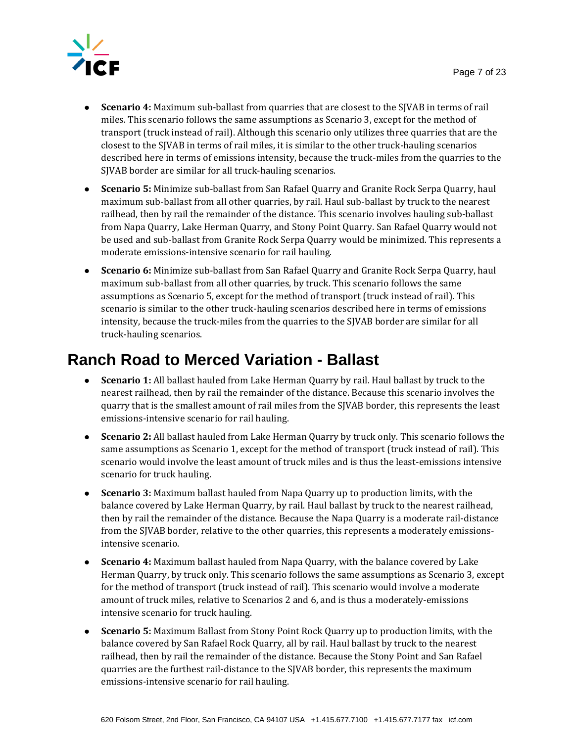

- **Scenario 4:** Maximum sub-ballast from quarries that are closest to the SJVAB in terms of rail miles. This scenario follows the same assumptions as Scenario 3, except for the method of transport (truck instead of rail). Although this scenario only utilizes three quarries that are the closest to the SJVAB in terms of rail miles, it is similar to the other truck-hauling scenarios described here in terms of emissions intensity, because the truck-miles from the quarries to the SJVAB border are similar for all truck-hauling scenarios.
- **Scenario 5:** Minimize sub-ballast from San Rafael Quarry and Granite Rock Serpa Quarry, haul maximum sub-ballast from all other quarries, by rail. Haul sub-ballast by truck to the nearest railhead, then by rail the remainder of the distance. This scenario involves hauling sub-ballast from Napa Quarry, Lake Herman Quarry, and Stony Point Quarry. San Rafael Quarry would not be used and sub-ballast from Granite Rock Serpa Quarry would be minimized. This represents a moderate emissions-intensive scenario for rail hauling.
- **Scenario 6:** Minimize sub-ballast from San Rafael Quarry and Granite Rock Serpa Quarry, haul maximum sub-ballast from all other quarries, by truck. This scenario follows the same assumptions as Scenario 5, except for the method of transport (truck instead of rail). This scenario is similar to the other truck-hauling scenarios described here in terms of emissions intensity, because the truck-miles from the quarries to the SJVAB border are similar for all truck-hauling scenarios.

### **Ranch Road to Merced Variation - Ballast**

- **Scenario 1:** All ballast hauled from Lake Herman Quarry by rail. Haul ballast by truck to the nearest railhead, then by rail the remainder of the distance. Because this scenario involves the quarry that is the smallest amount of rail miles from the SJVAB border, this represents the least emissions-intensive scenario for rail hauling.
- **Scenario 2:** All ballast hauled from Lake Herman Quarry by truck only. This scenario follows the same assumptions as Scenario 1, except for the method of transport (truck instead of rail). This scenario would involve the least amount of truck miles and is thus the least-emissions intensive scenario for truck hauling.
- **Scenario 3:** Maximum ballast hauled from Napa Quarry up to production limits, with the balance covered by Lake Herman Quarry, by rail. Haul ballast by truck to the nearest railhead, then by rail the remainder of the distance. Because the Napa Quarry is a moderate rail-distance from the SJVAB border, relative to the other quarries, this represents a moderately emissionsintensive scenario.
- **Scenario 4:** Maximum ballast hauled from Napa Quarry, with the balance covered by Lake Herman Quarry, by truck only. This scenario follows the same assumptions as Scenario 3, except for the method of transport (truck instead of rail). This scenario would involve a moderate amount of truck miles, relative to Scenarios 2 and 6, and is thus a moderately-emissions intensive scenario for truck hauling.
- **Scenario 5:** Maximum Ballast from Stony Point Rock Quarry up to production limits, with the balance covered by San Rafael Rock Quarry, all by rail. Haul ballast by truck to the nearest railhead, then by rail the remainder of the distance. Because the Stony Point and San Rafael quarries are the furthest rail-distance to the SJVAB border, this represents the maximum emissions-intensive scenario for rail hauling.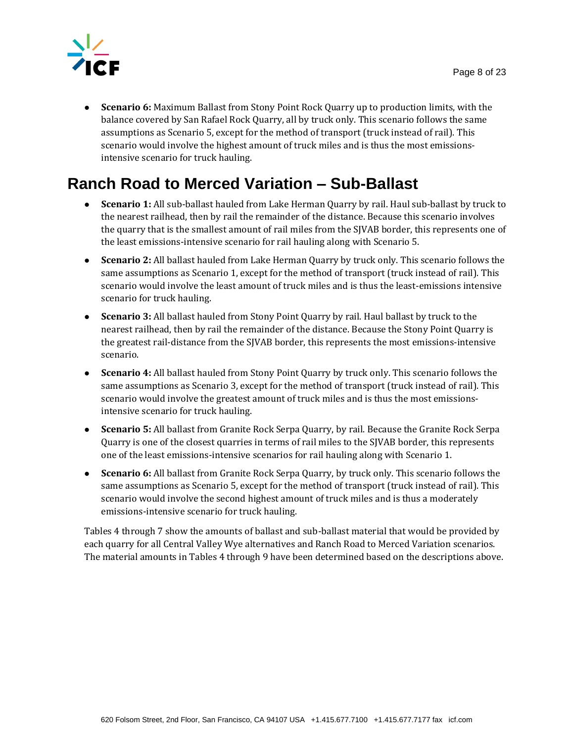

 **Scenario 6:** Maximum Ballast from Stony Point Rock Quarry up to production limits, with the balance covered by San Rafael Rock Quarry, all by truck only. This scenario follows the same assumptions as Scenario 5, except for the method of transport (truck instead of rail). This scenario would involve the highest amount of truck miles and is thus the most emissionsintensive scenario for truck hauling.

## **Ranch Road to Merced Variation – Sub-Ballast**

- **Scenario 1:** All sub-ballast hauled from Lake Herman Quarry by rail. Haul sub-ballast by truck to the nearest railhead, then by rail the remainder of the distance. Because this scenario involves the quarry that is the smallest amount of rail miles from the SJVAB border, this represents one of the least emissions-intensive scenario for rail hauling along with Scenario 5.
- **Scenario 2:** All ballast hauled from Lake Herman Quarry by truck only. This scenario follows the same assumptions as Scenario 1, except for the method of transport (truck instead of rail). This scenario would involve the least amount of truck miles and is thus the least-emissions intensive scenario for truck hauling.
- **Scenario 3:** All ballast hauled from Stony Point Quarry by rail. Haul ballast by truck to the nearest railhead, then by rail the remainder of the distance. Because the Stony Point Quarry is the greatest rail-distance from the SJVAB border, this represents the most emissions-intensive scenario.
- **Scenario 4:** All ballast hauled from Stony Point Quarry by truck only. This scenario follows the same assumptions as Scenario 3, except for the method of transport (truck instead of rail). This scenario would involve the greatest amount of truck miles and is thus the most emissionsintensive scenario for truck hauling.
- **Scenario 5:** All ballast from Granite Rock Serpa Quarry, by rail. Because the Granite Rock Serpa Quarry is one of the closest quarries in terms of rail miles to the SJVAB border, this represents one of the least emissions-intensive scenarios for rail hauling along with Scenario 1.
- **Scenario 6:** All ballast from Granite Rock Serpa Quarry, by truck only. This scenario follows the same assumptions as Scenario 5, except for the method of transport (truck instead of rail). This scenario would involve the second highest amount of truck miles and is thus a moderately emissions-intensive scenario for truck hauling.

Tables 4 through 7 show the amounts of ballast and sub-ballast material that would be provided by each quarry for all Central Valley Wye alternatives and Ranch Road to Merced Variation scenarios. The material amounts in Tables 4 through 9 have been determined based on the descriptions above.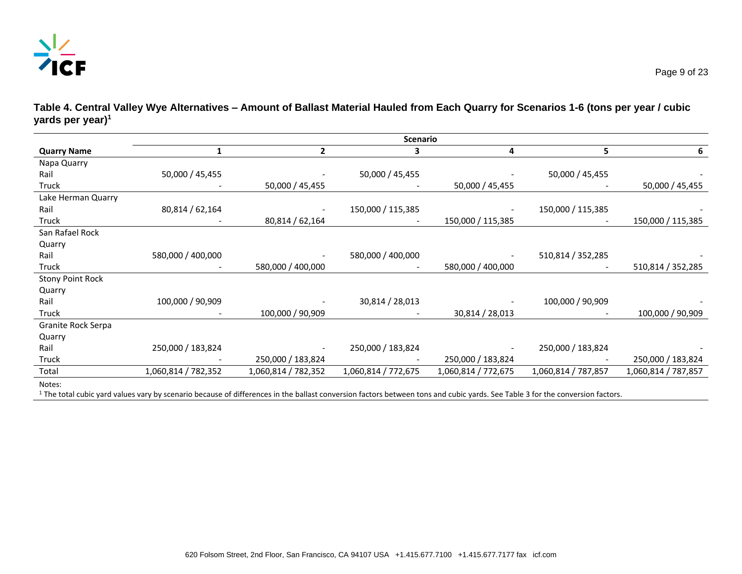

**Table 4. Central Valley Wye Alternatives – Amount of Ballast Material Hauled from Each Quarry for Scenarios 1-6 (tons per year / cubic yards per year)<sup>1</sup>**

|                         | <b>Scenario</b>                                                                                                                                                              |                     |                     |                     |                     |                     |
|-------------------------|------------------------------------------------------------------------------------------------------------------------------------------------------------------------------|---------------------|---------------------|---------------------|---------------------|---------------------|
| <b>Quarry Name</b>      | 1                                                                                                                                                                            | 2                   | 3                   | 4                   | 5                   | 6                   |
| Napa Quarry             |                                                                                                                                                                              |                     |                     |                     |                     |                     |
| Rail                    | 50,000 / 45,455                                                                                                                                                              |                     | 50,000 / 45,455     |                     | 50,000 / 45,455     |                     |
| Truck                   |                                                                                                                                                                              | 50,000 / 45,455     |                     | 50,000 / 45,455     |                     | 50,000 / 45,455     |
| Lake Herman Quarry      |                                                                                                                                                                              |                     |                     |                     |                     |                     |
| Rail                    | 80,814 / 62,164                                                                                                                                                              |                     | 150,000 / 115,385   |                     | 150,000 / 115,385   |                     |
| Truck                   |                                                                                                                                                                              | 80,814 / 62,164     |                     | 150,000 / 115,385   |                     | 150,000 / 115,385   |
| San Rafael Rock         |                                                                                                                                                                              |                     |                     |                     |                     |                     |
| Quarry                  |                                                                                                                                                                              |                     |                     |                     |                     |                     |
| Rail                    | 580,000 / 400,000                                                                                                                                                            |                     | 580,000 / 400,000   |                     | 510,814 / 352,285   |                     |
| Truck                   |                                                                                                                                                                              | 580,000 / 400,000   |                     | 580,000 / 400,000   |                     | 510,814 / 352,285   |
| <b>Stony Point Rock</b> |                                                                                                                                                                              |                     |                     |                     |                     |                     |
| Quarry                  |                                                                                                                                                                              |                     |                     |                     |                     |                     |
| Rail                    | 100,000 / 90,909                                                                                                                                                             |                     | 30,814 / 28,013     |                     | 100,000 / 90,909    |                     |
| Truck                   |                                                                                                                                                                              | 100,000 / 90,909    |                     | 30,814 / 28,013     |                     | 100,000 / 90,909    |
| Granite Rock Serpa      |                                                                                                                                                                              |                     |                     |                     |                     |                     |
| Quarry                  |                                                                                                                                                                              |                     |                     |                     |                     |                     |
| Rail                    | 250,000 / 183,824                                                                                                                                                            |                     | 250,000 / 183,824   |                     | 250,000 / 183,824   |                     |
| Truck                   |                                                                                                                                                                              | 250,000 / 183,824   |                     | 250,000 / 183,824   |                     | 250,000 / 183,824   |
| Total                   | 1,060,814 / 782,352                                                                                                                                                          | 1,060,814 / 782,352 | 1,060,814 / 772,675 | 1,060,814 / 772,675 | 1,060,814 / 787,857 | 1,060,814 / 787,857 |
| Notes:                  | The tetal entirement minimum because to become of differences in the bellest communica feature between the seal and subismental Central Of feature seams and feature feature |                     |                     |                     |                     |                     |

<sup>1</sup> The total cubic yard values vary by scenario because of differences in the ballast conversion factors between tons and cubic yards. See Table 3 for the conversion factors.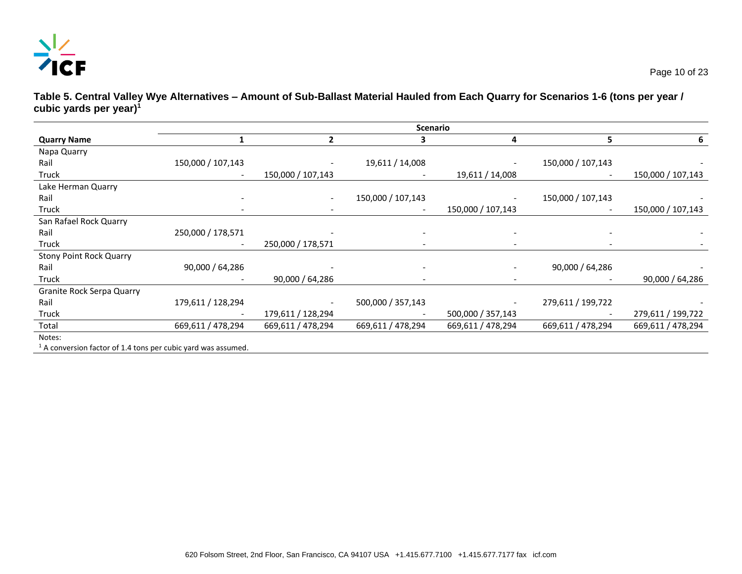

**Table 5. Central Valley Wye Alternatives – Amount of Sub-Ballast Material Hauled from Each Quarry for Scenarios 1-6 (tons per year / cubic yards per year)<sup>1</sup>**

|                                                                 | <b>Scenario</b>   |                   |                          |                          |                   |                   |
|-----------------------------------------------------------------|-------------------|-------------------|--------------------------|--------------------------|-------------------|-------------------|
| <b>Quarry Name</b>                                              |                   | 2                 |                          | 4                        | 5.                | 6                 |
| Napa Quarry                                                     |                   |                   |                          |                          |                   |                   |
| Rail                                                            | 150,000 / 107,143 |                   | 19,611 / 14,008          |                          | 150,000 / 107,143 |                   |
| Truck                                                           |                   | 150,000 / 107,143 |                          | 19,611 / 14,008          |                   | 150,000 / 107,143 |
| Lake Herman Quarry                                              |                   |                   |                          |                          |                   |                   |
| Rail                                                            |                   |                   | 150,000 / 107,143        |                          | 150,000 / 107,143 |                   |
| Truck                                                           |                   |                   |                          | 150,000 / 107,143        |                   | 150,000 / 107,143 |
| San Rafael Rock Quarry                                          |                   |                   |                          |                          |                   |                   |
| Rail                                                            | 250,000 / 178,571 |                   |                          |                          |                   |                   |
| Truck                                                           | ۰                 | 250,000 / 178,571 | $\overline{\phantom{0}}$ | $\overline{\phantom{a}}$ |                   |                   |
| <b>Stony Point Rock Quarry</b>                                  |                   |                   |                          |                          |                   |                   |
| Rail                                                            | 90,000 / 64,286   |                   |                          |                          | 90,000 / 64,286   |                   |
| Truck                                                           |                   | 90,000 / 64,286   |                          |                          |                   | 90,000 / 64,286   |
| <b>Granite Rock Serpa Quarry</b>                                |                   |                   |                          |                          |                   |                   |
| Rail                                                            | 179,611 / 128,294 |                   | 500,000 / 357,143        |                          | 279,611 / 199,722 |                   |
| Truck                                                           |                   | 179,611 / 128,294 |                          | 500,000 / 357,143        |                   | 279,611 / 199,722 |
| Total                                                           | 669,611 / 478,294 | 669,611 / 478,294 | 669,611 / 478,294        | 669,611 / 478,294        | 669,611 / 478,294 | 669,611 / 478,294 |
| Notes:                                                          |                   |                   |                          |                          |                   |                   |
| $1$ A conversion factor of 1.4 tons per cubic yard was assumed. |                   |                   |                          |                          |                   |                   |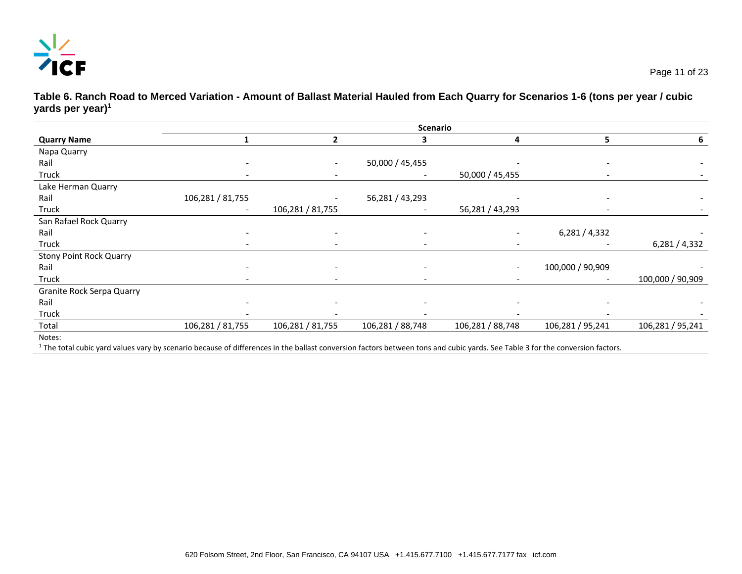

**Table 6. Ranch Road to Merced Variation - Amount of Ballast Material Hauled from Each Quarry for Scenarios 1-6 (tons per year / cubic yards per year)<sup>1</sup>**

|                                  | <b>Scenario</b>          |                          |                          |                  |                          |                  |
|----------------------------------|--------------------------|--------------------------|--------------------------|------------------|--------------------------|------------------|
| <b>Quarry Name</b>               |                          | $\mathfrak z$            |                          | 4                | 5                        | 6                |
| Napa Quarry                      |                          |                          |                          |                  |                          |                  |
| Rail                             |                          |                          | 50,000 / 45,455          |                  |                          |                  |
| Truck                            | $\overline{\phantom{a}}$ | $\overline{\phantom{a}}$ |                          | 50,000 / 45,455  | $\overline{\phantom{a}}$ |                  |
| Lake Herman Quarry               |                          |                          |                          |                  |                          |                  |
| Rail                             | 106,281 / 81,755         |                          | 56,281 / 43,293          |                  |                          |                  |
| Truck                            |                          | 106,281 / 81,755         |                          | 56,281 / 43,293  |                          |                  |
| San Rafael Rock Quarry           |                          |                          |                          |                  |                          |                  |
| Rail                             |                          |                          | $\overline{\phantom{a}}$ |                  | 6,281/4,332              |                  |
| Truck                            |                          |                          | $\overline{\phantom{0}}$ |                  |                          | 6,281/4,332      |
| <b>Stony Point Rock Quarry</b>   |                          |                          |                          |                  |                          |                  |
| Rail                             |                          |                          |                          |                  | 100,000 / 90,909         |                  |
| Truck                            |                          |                          | $\overline{\phantom{0}}$ |                  |                          | 100,000 / 90,909 |
| <b>Granite Rock Serpa Quarry</b> |                          |                          |                          |                  |                          |                  |
| Rail                             |                          |                          |                          |                  |                          |                  |
| Truck                            |                          |                          |                          |                  |                          |                  |
| Total                            | 106,281 / 81,755         | 106,281 / 81,755         | 106,281 / 88,748         | 106,281 / 88,748 | 106,281 / 95,241         | 106,281 / 95,241 |
| Notes:                           |                          |                          |                          |                  |                          |                  |

<sup>1</sup> The total cubic yard values vary by scenario because of differences in the ballast conversion factors between tons and cubic yards. See Table 3 for the conversion factors.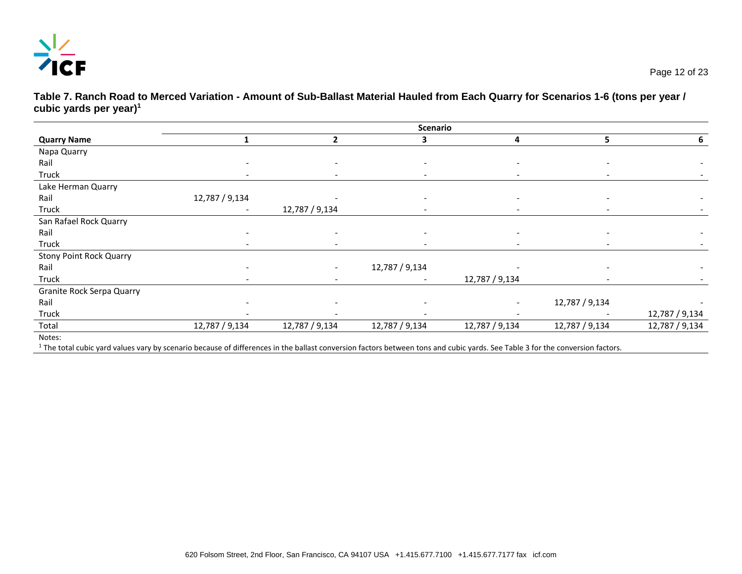

**Table 7. Ranch Road to Merced Variation - Amount of Sub-Ballast Material Hauled from Each Quarry for Scenarios 1-6 (tons per year / cubic yards per year)<sup>1</sup>**

|                                  |                          |                          | <b>Scenario</b>          |                          |                          |                |
|----------------------------------|--------------------------|--------------------------|--------------------------|--------------------------|--------------------------|----------------|
| <b>Quarry Name</b>               |                          | $\overline{2}$           | 3                        | 4                        | 5                        | 6              |
| Napa Quarry                      |                          |                          |                          |                          |                          |                |
| Rail                             |                          |                          |                          |                          |                          |                |
| Truck                            | $\overline{\phantom{0}}$ | $\sim$                   | $\overline{\phantom{a}}$ | $\overline{\phantom{a}}$ | $\overline{\phantom{a}}$ |                |
| Lake Herman Quarry               |                          |                          |                          |                          |                          |                |
| Rail                             | 12,787 / 9,134           |                          | $\overline{\phantom{a}}$ |                          |                          |                |
| Truck                            |                          | 12,787 / 9,134           | $\overline{\phantom{a}}$ | $\overline{\phantom{a}}$ | $\overline{\phantom{a}}$ |                |
| San Rafael Rock Quarry           |                          |                          |                          |                          |                          |                |
| Rail                             |                          | $\overline{\phantom{a}}$ |                          |                          |                          |                |
| Truck                            |                          | $\overline{\phantom{a}}$ | $\overline{\phantom{a}}$ |                          |                          |                |
| <b>Stony Point Rock Quarry</b>   |                          |                          |                          |                          |                          |                |
| Rail                             |                          |                          | 12,787 / 9,134           |                          |                          |                |
| Truck                            |                          | $\overline{\phantom{a}}$ | $\overline{\phantom{a}}$ | 12,787 / 9,134           |                          |                |
| <b>Granite Rock Serpa Quarry</b> |                          |                          |                          |                          |                          |                |
| Rail                             |                          |                          |                          |                          | 12,787 / 9,134           |                |
| Truck                            |                          |                          |                          |                          |                          | 12,787 / 9,134 |
| Total                            | 12,787 / 9,134           | 12,787 / 9,134           | 12,787 / 9,134           | 12,787 / 9,134           | 12,787 / 9,134           | 12,787 / 9,134 |
| Notes:                           |                          |                          |                          |                          |                          |                |

<sup>1</sup> The total cubic yard values vary by scenario because of differences in the ballast conversion factors between tons and cubic yards. See Table 3 for the conversion factors.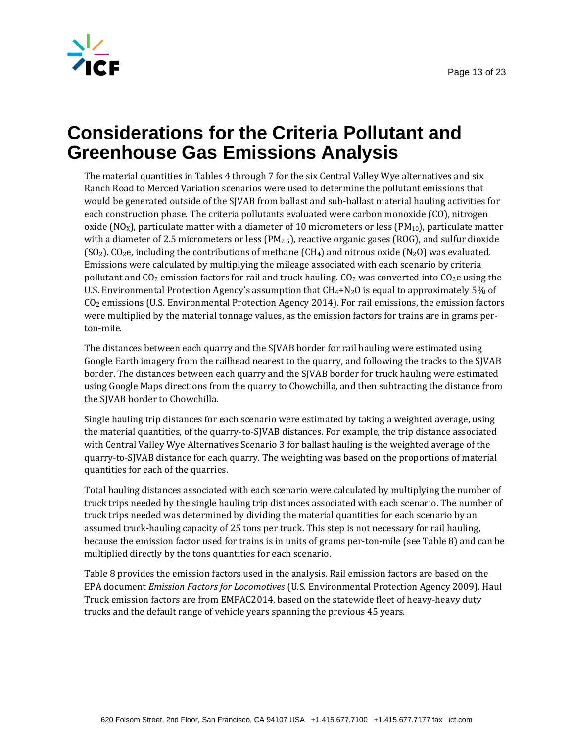



## **Considerations for the Criteria Pollutant and Greenhouse Gas Emissions Analysis**

The material quantities in Tables 4 through 7 for the six Central Valley Wye alternatives and six Ranch Road to Merced Variation scenarios were used to determine the pollutant emissions that would be generated outside of the SJVAB from ballast and sub-ballast material hauling activities for each construction phase. The criteria pollutants evaluated were carbon monoxide (CO), nitrogen oxide (NO<sub>X</sub>), particulate matter with a diameter of 10 micrometers or less (PM<sub>10</sub>), particulate matter with a diameter of 2.5 micrometers or less ( $PM_{2.5}$ ), reactive organic gases (ROG), and sulfur dioxide  $(SO<sub>2</sub>)$ . CO<sub>2</sub>e, including the contributions of methane  $(CH<sub>4</sub>)$  and nitrous oxide  $(N<sub>2</sub>O)$  was evaluated. Emissions were calculated by multiplying the mileage associated with each scenario by criteria pollutant and  $CO_2$  emission factors for rail and truck hauling.  $CO_2$  was converted into  $CO_2$ e using the U.S. Environmental Protection Agency's assumption that  $CH_4+N_2O$  is equal to approximately 5% of CO2 emissions (U.S. Environmental Protection Agency 2014). For rail emissions, the emission factors were multiplied by the material tonnage values, as the emission factors for trains are in grams perton-mile.

The distances between each quarry and the SJVAB border for rail hauling were estimated using Google Earth imagery from the railhead nearest to the quarry, and following the tracks to the SJVAB border. The distances between each quarry and the SJVAB border for truck hauling were estimated using Google Maps directions from the quarry to Chowchilla, and then subtracting the distance from the SJVAB border to Chowchilla.

Single hauling trip distances for each scenario were estimated by taking a weighted average, using the material quantities, of the quarry-to-SJVAB distances. For example, the trip distance associated with Central Valley Wye Alternatives Scenario 3 for ballast hauling is the weighted average of the quarry-to-SJVAB distance for each quarry. The weighting was based on the proportions of material quantities for each of the quarries.

Total hauling distances associated with each scenario were calculated by multiplying the number of truck trips needed by the single hauling trip distances associated with each scenario. The number of truck trips needed was determined by dividing the material quantities for each scenario by an assumed truck-hauling capacity of 25 tons per truck. This step is not necessary for rail hauling, because the emission factor used for trains is in units of grams per-ton-mile (see Table 8) and can be multiplied directly by the tons quantities for each scenario.

Table 8 provides the emission factors used in the analysis. Rail emission factors are based on the EPA document *Emission Factors for Locomotives* (U.S. Environmental Protection Agency 2009). Haul Truck emission factors are from EMFAC2014, based on the statewide fleet of heavy-heavy duty trucks and the default range of vehicle years spanning the previous 45 years.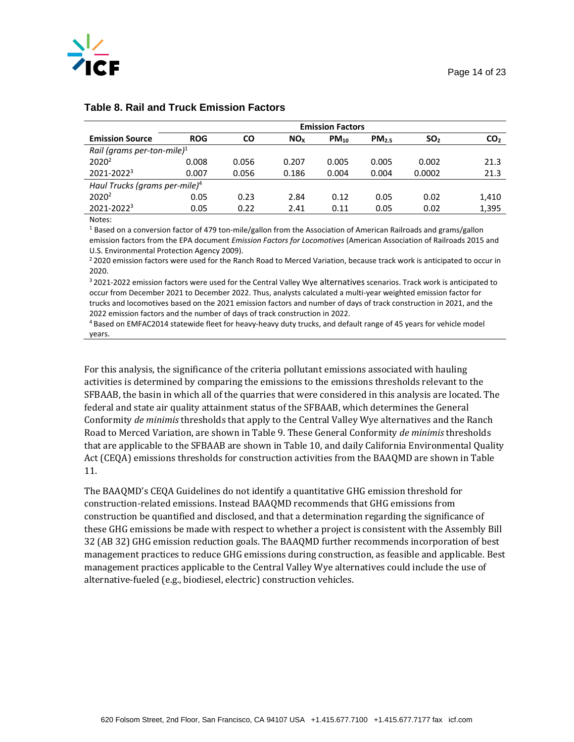

|                                           | <b>Emission Factors</b> |           |                       |           |                   |                 |                 |
|-------------------------------------------|-------------------------|-----------|-----------------------|-----------|-------------------|-----------------|-----------------|
| <b>Emission Source</b>                    | <b>ROG</b>              | <b>CO</b> | <b>NO<sub>x</sub></b> | $PM_{10}$ | PM <sub>2.5</sub> | SO <sub>2</sub> | CO <sub>2</sub> |
| Rail (grams per-ton-mile) <sup>1</sup>    |                         |           |                       |           |                   |                 |                 |
| 2020 <sup>2</sup>                         | 0.008                   | 0.056     | 0.207                 | 0.005     | 0.005             | 0.002           | 21.3            |
| $2021 - 2022^3$                           | 0.007                   | 0.056     | 0.186                 | 0.004     | 0.004             | 0.0002          | 21.3            |
| Haul Trucks (grams per-mile) <sup>4</sup> |                         |           |                       |           |                   |                 |                 |
| 2020 <sup>2</sup>                         | 0.05                    | 0.23      | 2.84                  | 0.12      | 0.05              | 0.02            | 1,410           |
| $2021 - 2022^3$                           | 0.05                    | 0.22      | 2.41                  | 0.11      | 0.05              | 0.02            | 1,395           |

#### **Table 8. Rail and Truck Emission Factors**

Notes:

<sup>1</sup> Based on a conversion factor of 479 ton-mile/gallon from the Association of American Railroads and grams/gallon emission factors from the EPA document *Emission Factors for Locomotives* (American Association of Railroads 2015 and U.S. Environmental Protection Agency 2009).

<sup>2</sup> 2020 emission factors were used for the Ranch Road to Merced Variation, because track work is anticipated to occur in 2020.

<sup>3</sup> 2021-2022 emission factors were used for the Central Valley Wye alternatives scenarios. Track work is anticipated to occur from December 2021 to December 2022. Thus, analysts calculated a multi-year weighted emission factor for trucks and locomotives based on the 2021 emission factors and number of days of track construction in 2021, and the 2022 emission factors and the number of days of track construction in 2022.

<sup>4</sup> Based on EMFAC2014 statewide fleet for heavy-heavy duty trucks, and default range of 45 years for vehicle model years.

For this analysis, the significance of the criteria pollutant emissions associated with hauling activities is determined by comparing the emissions to the emissions thresholds relevant to the SFBAAB, the basin in which all of the quarries that were considered in this analysis are located. The federal and state air quality attainment status of the SFBAAB, which determines the General Conformity *de minimis* thresholds that apply to the Central Valley Wye alternatives and the Ranch Road to Merced Variation, are shown in Table 9. These General Conformity *de minimis* thresholds that are applicable to the SFBAAB are shown in Table 10, and daily California Environmental Quality Act (CEQA) emissions thresholds for construction activities from the BAAQMD are shown in Table 11.

The BAAQMD's CEQA Guidelines do not identify a quantitative GHG emission threshold for construction-related emissions. Instead BAAQMD recommends that GHG emissions from construction be quantified and disclosed, and that a determination regarding the significance of these GHG emissions be made with respect to whether a project is consistent with the Assembly Bill 32 (AB 32) GHG emission reduction goals. The BAAQMD further recommends incorporation of best management practices to reduce GHG emissions during construction, as feasible and applicable. Best management practices applicable to the Central Valley Wye alternatives could include the use of alternative-fueled (e.g., biodiesel, electric) construction vehicles.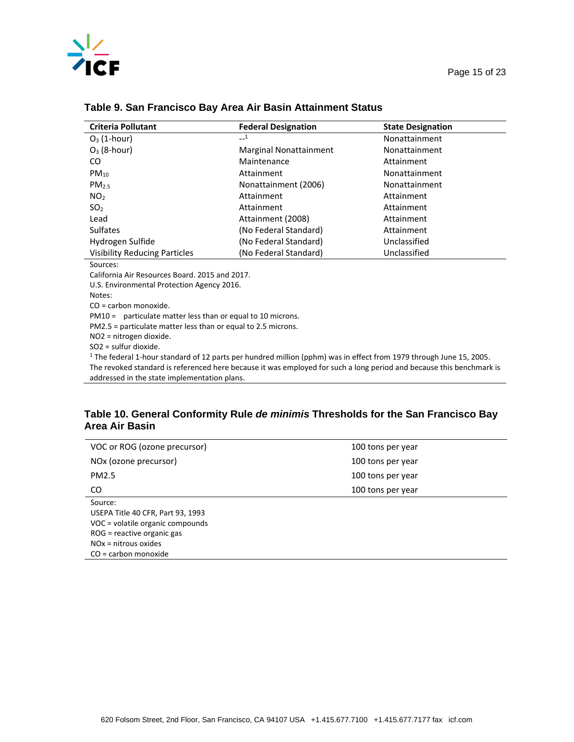

#### Page 15 of 23

| <b>Criteria Pollutant</b>            | <b>Federal Designation</b>    | <b>State Designation</b> |
|--------------------------------------|-------------------------------|--------------------------|
| $O_3$ (1-hour)                       | $-1$                          | Nonattainment            |
| $O_3$ (8-hour)                       | <b>Marginal Nonattainment</b> | Nonattainment            |
| CO.                                  | Maintenance                   | Attainment               |
| $PM_{10}$                            | Attainment                    | Nonattainment            |
| PM <sub>25</sub>                     | Nonattainment (2006)          | Nonattainment            |
| NO <sub>2</sub>                      | Attainment                    | Attainment               |
| SO <sub>2</sub>                      | Attainment                    | Attainment               |
| Lead                                 | Attainment (2008)             | Attainment               |
| <b>Sulfates</b>                      | (No Federal Standard)         | Attainment               |
| Hydrogen Sulfide                     | (No Federal Standard)         | Unclassified             |
| <b>Visibility Reducing Particles</b> | (No Federal Standard)         | Unclassified             |
| Sources:                             |                               |                          |
|                                      |                               |                          |

#### **Table 9. San Francisco Bay Area Air Basin Attainment Status**

California Air Resources Board. 2015 and 2017.

U.S. Environmental Protection Agency 2016.

Notes:

CO = carbon monoxide.

PM10 = particulate matter less than or equal to 10 microns.

PM2.5 = particulate matter less than or equal to 2.5 microns.

NO2 = nitrogen dioxide.

SO2 = sulfur dioxide.

1 The federal 1-hour standard of 12 parts per hundred million (pphm) was in effect from 1979 through June 15, 2005. The revoked standard is referenced here because it was employed for such a long period and because this benchmark is addressed in the state implementation plans.

#### **Table 10. General Conformity Rule** *de minimis* **Thresholds for the San Francisco Bay Area Air Basin**

| VOC or ROG (ozone precursor)      | 100 tons per year |
|-----------------------------------|-------------------|
| NOx (ozone precursor)             | 100 tons per year |
| PM2.5                             | 100 tons per year |
| CO.                               | 100 tons per year |
| Source:                           |                   |
| USEPA Title 40 CFR, Part 93, 1993 |                   |
| VOC = volatile organic compounds  |                   |
| ROG = reactive organic gas        |                   |
| $NOx = nitrous oxides$            |                   |
| $CO =$ carbon monoxide            |                   |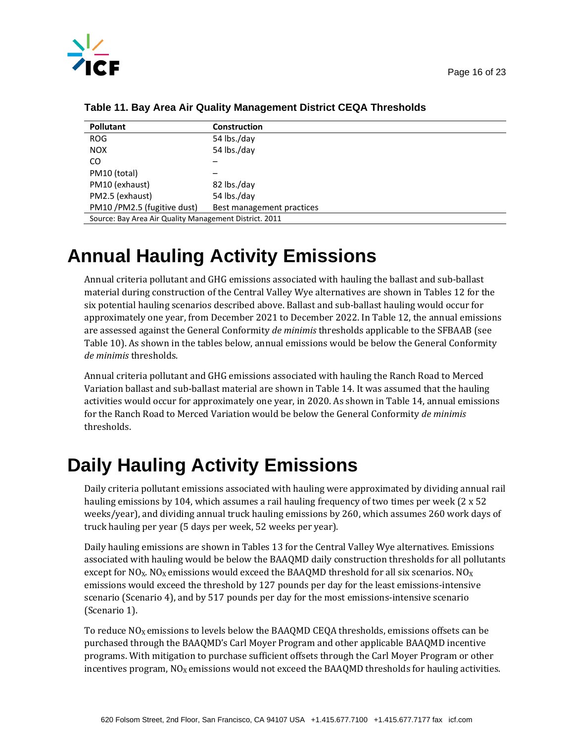

| <b>Pollutant</b>                                       | Construction              |  |  |  |
|--------------------------------------------------------|---------------------------|--|--|--|
| <b>ROG</b>                                             | 54 lbs./day               |  |  |  |
| <b>NOX</b>                                             | 54 lbs./day               |  |  |  |
| CO.                                                    |                           |  |  |  |
| PM10 (total)                                           |                           |  |  |  |
| PM10 (exhaust)                                         | 82 lbs./day               |  |  |  |
| PM2.5 (exhaust)                                        | 54 lbs./day               |  |  |  |
| PM10 /PM2.5 (fugitive dust)                            | Best management practices |  |  |  |
| Source: Bay Area Air Quality Management District. 2011 |                           |  |  |  |

**Table 11. Bay Area Air Quality Management District CEQA Thresholds** 

# **Annual Hauling Activity Emissions**

Annual criteria pollutant and GHG emissions associated with hauling the ballast and sub-ballast material during construction of the Central Valley Wye alternatives are shown in Tables 12 for the six potential hauling scenarios described above. Ballast and sub-ballast hauling would occur for approximately one year, from December 2021 to December 2022. In Table 12, the annual emissions are assessed against the General Conformity *de minimis* thresholds applicable to the SFBAAB (see Table 10). As shown in the tables below, annual emissions would be below the General Conformity *de minimis* thresholds.

Annual criteria pollutant and GHG emissions associated with hauling the Ranch Road to Merced Variation ballast and sub-ballast material are shown in Table 14. It was assumed that the hauling activities would occur for approximately one year, in 2020. As shown in Table 14, annual emissions for the Ranch Road to Merced Variation would be below the General Conformity *de minimis* thresholds.

# **Daily Hauling Activity Emissions**

Daily criteria pollutant emissions associated with hauling were approximated by dividing annual rail hauling emissions by 104, which assumes a rail hauling frequency of two times per week (2 x 52) weeks/year), and dividing annual truck hauling emissions by 260, which assumes 260 work days of truck hauling per year (5 days per week, 52 weeks per year).

Daily hauling emissions are shown in Tables 13 for the Central Valley Wye alternatives. Emissions associated with hauling would be below the BAAQMD daily construction thresholds for all pollutants except for NO<sub>X</sub>. NO<sub>X</sub> emissions would exceed the BAAQMD threshold for all six scenarios. NO<sub>X</sub> emissions would exceed the threshold by 127 pounds per day for the least emissions-intensive scenario (Scenario 4), and by 517 pounds per day for the most emissions-intensive scenario (Scenario 1).

To reduce  $NO<sub>X</sub>$  emissions to levels below the BAAQMD CEQA thresholds, emissions offsets can be purchased through the BAAQMD's Carl Moyer Program and other applicable BAAQMD incentive programs. With mitigation to purchase sufficient offsets through the Carl Moyer Program or other incentives program,  $NO<sub>X</sub>$  emissions would not exceed the BAAQMD thresholds for hauling activities.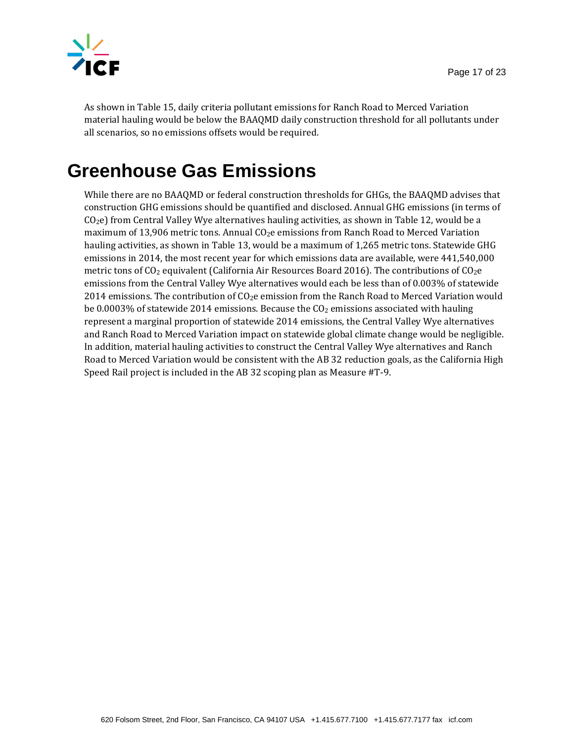

As shown in Table 15, daily criteria pollutant emissions for Ranch Road to Merced Variation material hauling would be below the BAAQMD daily construction threshold for all pollutants under all scenarios, so no emissions offsets would be required.

# **Greenhouse Gas Emissions**

While there are no BAAQMD or federal construction thresholds for GHGs, the BAAQMD advises that construction GHG emissions should be quantified and disclosed. Annual GHG emissions (in terms of CO2e) from Central Valley Wye alternatives hauling activities, as shown in Table 12, would be a maximum of 13,906 metric tons. Annual  $CO<sub>2</sub>e$  emissions from Ranch Road to Merced Variation hauling activities, as shown in Table 13, would be a maximum of 1,265 metric tons. Statewide GHG emissions in 2014, the most recent year for which emissions data are available, were 441,540,000 metric tons of  $CO<sub>2</sub>$  equivalent (California Air Resources Board 2016). The contributions of  $CO<sub>2</sub>$ e emissions from the Central Valley Wye alternatives would each be less than of 0.003% of statewide 2014 emissions. The contribution of  $CO<sub>2</sub>e$  emission from the Ranch Road to Merced Variation would be 0.0003% of statewide 2014 emissions. Because the  $C_2$  emissions associated with hauling represent a marginal proportion of statewide 2014 emissions, the Central Valley Wye alternatives and Ranch Road to Merced Variation impact on statewide global climate change would be negligible. In addition, material hauling activities to construct the Central Valley Wye alternatives and Ranch Road to Merced Variation would be consistent with the AB 32 reduction goals, as the California High Speed Rail project is included in the AB 32 scoping plan as Measure #T-9.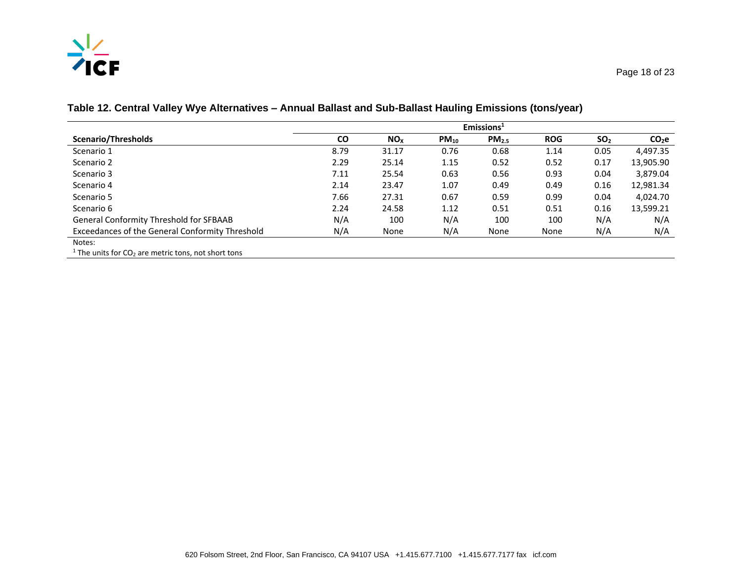# $\frac{N_Z}{N}$

|                                                                  | Emissions <sup>1</sup> |                 |           |                   |            |                 |                   |
|------------------------------------------------------------------|------------------------|-----------------|-----------|-------------------|------------|-----------------|-------------------|
| Scenario/Thresholds                                              | <b>CO</b>              | NO <sub>x</sub> | $PM_{10}$ | PM <sub>2.5</sub> | <b>ROG</b> | SO <sub>2</sub> | CO <sub>2</sub> e |
| Scenario 1                                                       | 8.79                   | 31.17           | 0.76      | 0.68              | 1.14       | 0.05            | 4,497.35          |
| Scenario 2                                                       | 2.29                   | 25.14           | 1.15      | 0.52              | 0.52       | 0.17            | 13,905.90         |
| Scenario 3                                                       | 7.11                   | 25.54           | 0.63      | 0.56              | 0.93       | 0.04            | 3,879.04          |
| Scenario 4                                                       | 2.14                   | 23.47           | 1.07      | 0.49              | 0.49       | 0.16            | 12,981.34         |
| Scenario 5                                                       | 7.66                   | 27.31           | 0.67      | 0.59              | 0.99       | 0.04            | 4.024.70          |
| Scenario 6                                                       | 2.24                   | 24.58           | 1.12      | 0.51              | 0.51       | 0.16            | 13,599.21         |
| <b>General Conformity Threshold for SFBAAB</b>                   | N/A                    | 100             | N/A       | 100               | 100        | N/A             | N/A               |
| Exceedances of the General Conformity Threshold                  | N/A                    | None            | N/A       | None              | None       | N/A             | N/A               |
| Notes:                                                           |                        |                 |           |                   |            |                 |                   |
| <sup>1</sup> The units for $CO2$ are metric tons, not short tons |                        |                 |           |                   |            |                 |                   |

**Table 12. Central Valley Wye Alternatives – Annual Ballast and Sub-Ballast Hauling Emissions (tons/year)**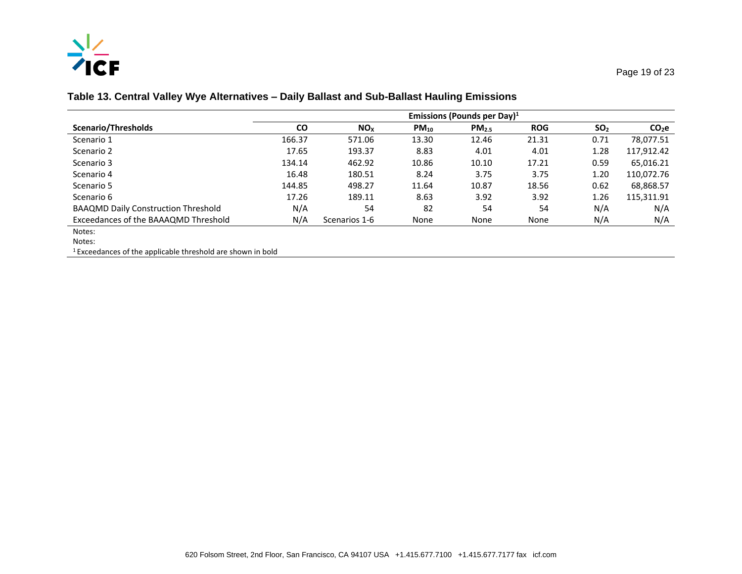# $\frac{N}{2}$

#### **Table 13. Central Valley Wye Alternatives – Daily Ballast and Sub-Ballast Hauling Emissions**

| <b>Scenario/Thresholds</b>                                                                 | Emissions (Pounds per Day) <sup>1</sup> |                 |           |                   |            |                 |                   |
|--------------------------------------------------------------------------------------------|-----------------------------------------|-----------------|-----------|-------------------|------------|-----------------|-------------------|
|                                                                                            | <b>CO</b>                               | NO <sub>x</sub> | $PM_{10}$ | PM <sub>2.5</sub> | <b>ROG</b> | SO <sub>2</sub> | CO <sub>2</sub> e |
| Scenario 1                                                                                 | 166.37                                  | 571.06          | 13.30     | 12.46             | 21.31      | 0.71            | 78.077.51         |
| Scenario 2                                                                                 | 17.65                                   | 193.37          | 8.83      | 4.01              | 4.01       | 1.28            | 117,912.42        |
| Scenario 3                                                                                 | 134.14                                  | 462.92          | 10.86     | 10.10             | 17.21      | 0.59            | 65,016.21         |
| Scenario 4                                                                                 | 16.48                                   | 180.51          | 8.24      | 3.75              | 3.75       | 1.20            | 110,072.76        |
| Scenario 5                                                                                 | 144.85                                  | 498.27          | 11.64     | 10.87             | 18.56      | 0.62            | 68,868.57         |
| Scenario 6                                                                                 | 17.26                                   | 189.11          | 8.63      | 3.92              | 3.92       | 1.26            | 115,311.91        |
| <b>BAAQMD Daily Construction Threshold</b>                                                 | N/A                                     | 54              | 82        | 54                | 54         | N/A             | N/A               |
| Exceedances of the BAAAQMD Threshold                                                       | N/A                                     | Scenarios 1-6   | None      | None              | None       | N/A             | N/A               |
| Notes:                                                                                     |                                         |                 |           |                   |            |                 |                   |
| $\mathbf{A}$ $\mathbf{A}$ $\mathbf{A}$ $\mathbf{A}$ $\mathbf{A}$ $\mathbf{A}$ $\mathbf{A}$ |                                         |                 |           |                   |            |                 |                   |

Notes:

1 Exceedances of the applicable threshold are shown in bold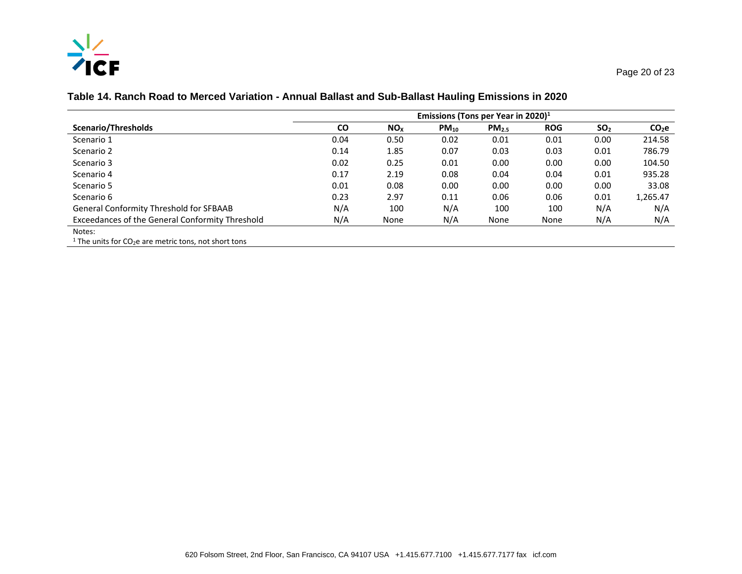# $\frac{N_Z}{N}$

#### **Table 14. Ranch Road to Merced Variation - Annual Ballast and Sub-Ballast Hauling Emissions in 2020**

|                                                                              | Emissions (Tons per Year in 2020) $1$ |                 |           |            |            |                 |                   |
|------------------------------------------------------------------------------|---------------------------------------|-----------------|-----------|------------|------------|-----------------|-------------------|
| Scenario/Thresholds                                                          | <b>CO</b>                             | NO <sub>x</sub> | $PM_{10}$ | $PM_{2.5}$ | <b>ROG</b> | SO <sub>2</sub> | CO <sub>2</sub> e |
| Scenario 1                                                                   | 0.04                                  | 0.50            | 0.02      | 0.01       | 0.01       | 0.00            | 214.58            |
| Scenario 2                                                                   | 0.14                                  | 1.85            | 0.07      | 0.03       | 0.03       | 0.01            | 786.79            |
| Scenario 3                                                                   | 0.02                                  | 0.25            | 0.01      | 0.00       | 0.00       | 0.00            | 104.50            |
| Scenario 4                                                                   | 0.17                                  | 2.19            | 0.08      | 0.04       | 0.04       | 0.01            | 935.28            |
| Scenario 5                                                                   | 0.01                                  | 0.08            | 0.00      | 0.00       | 0.00       | 0.00            | 33.08             |
| Scenario 6                                                                   | 0.23                                  | 2.97            | 0.11      | 0.06       | 0.06       | 0.01            | 1,265.47          |
| <b>General Conformity Threshold for SFBAAB</b>                               | N/A                                   | 100             | N/A       | 100        | 100        | N/A             | N/A               |
| Exceedances of the General Conformity Threshold                              | N/A                                   | None            | N/A       | None       | None       | N/A             | N/A               |
| Notes:                                                                       |                                       |                 |           |            |            |                 |                   |
| <sup>1</sup> The units for CO <sub>2</sub> e are metric tons, not short tons |                                       |                 |           |            |            |                 |                   |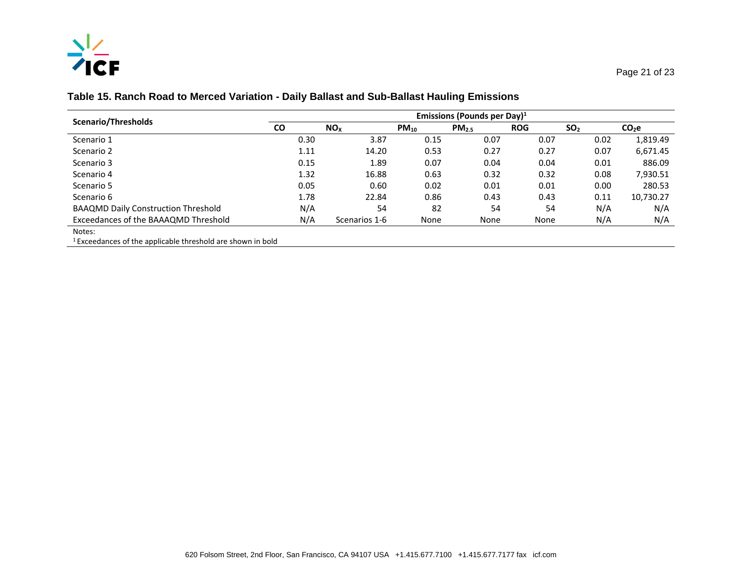

#### **Table 15. Ranch Road to Merced Variation - Daily Ballast and Sub-Ballast Hauling Emissions**

| Scenario/Thresholds                                                                        | Emissions (Pounds per Day) $1$ |                 |           |                   |            |                 |                   |  |
|--------------------------------------------------------------------------------------------|--------------------------------|-----------------|-----------|-------------------|------------|-----------------|-------------------|--|
|                                                                                            | <b>CO</b>                      | NO <sub>x</sub> | $PM_{10}$ | PM <sub>2.5</sub> | <b>ROG</b> | SO <sub>2</sub> | CO <sub>2</sub> e |  |
| Scenario 1                                                                                 | 0.30                           | 3.87            | 0.15      | 0.07              | 0.07       | 0.02            | 1,819.49          |  |
| Scenario 2                                                                                 | 1.11                           | 14.20           | 0.53      | 0.27              | 0.27       | 0.07            | 6,671.45          |  |
| Scenario 3                                                                                 | 0.15                           | 1.89            | 0.07      | 0.04              | 0.04       | 0.01            | 886.09            |  |
| Scenario 4                                                                                 | 1.32                           | 16.88           | 0.63      | 0.32              | 0.32       | 0.08            | 7,930.51          |  |
| Scenario 5                                                                                 | 0.05                           | 0.60            | 0.02      | 0.01              | 0.01       | 0.00            | 280.53            |  |
| Scenario 6                                                                                 | 1.78                           | 22.84           | 0.86      | 0.43              | 0.43       | 0.11            | 10,730.27         |  |
| <b>BAAQMD Daily Construction Threshold</b>                                                 | N/A                            | 54              | 82        | 54                | 54         | N/A             | N/A               |  |
| Exceedances of the BAAAQMD Threshold                                                       | N/A                            | Scenarios 1-6   | None      | None              | None       | N/A             | N/A               |  |
| Notes:                                                                                     |                                |                 |           |                   |            |                 |                   |  |
| . 1 meet to the company of the modern through the theory begin to the company of the books |                                |                 |           |                   |            |                 |                   |  |

 $1$  Exceedances of the applicable threshold are shown in bold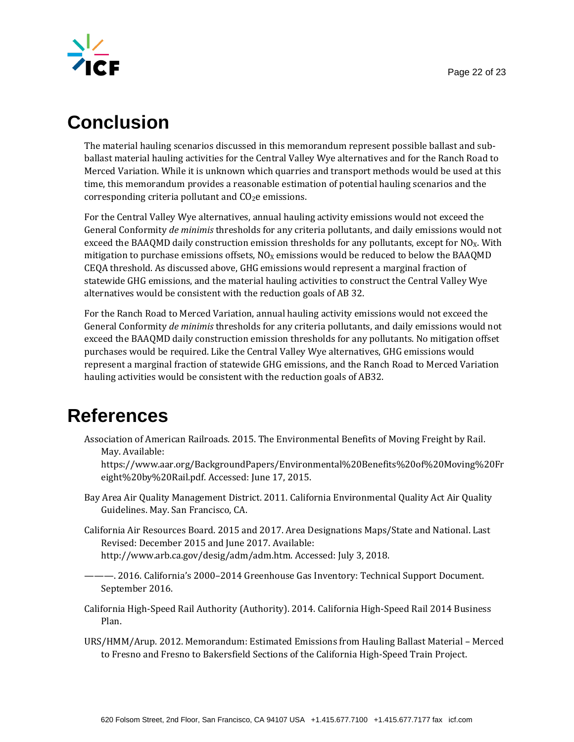

# **Conclusion**

The material hauling scenarios discussed in this memorandum represent possible ballast and subballast material hauling activities for the Central Valley Wye alternatives and for the Ranch Road to Merced Variation. While it is unknown which quarries and transport methods would be used at this time, this memorandum provides a reasonable estimation of potential hauling scenarios and the corresponding criteria pollutant and  $CO<sub>2</sub>e$  emissions.

For the Central Valley Wye alternatives, annual hauling activity emissions would not exceed the General Conformity *de minimis* thresholds for any criteria pollutants, and daily emissions would not exceed the BAAQMD daily construction emission thresholds for any pollutants, except for  $NO<sub>X</sub>$ . With mitigation to purchase emissions offsets,  $NO_X$  emissions would be reduced to below the BAAQMD CEQA threshold. As discussed above, GHGemissions would represent a marginal fraction of statewide GHG emissions, and the material hauling activities to construct the Central Valley Wye alternatives would be consistent with the reduction goals of AB 32.

For the Ranch Road to Merced Variation, annual hauling activity emissions would not exceed the General Conformity *de minimis* thresholds for any criteria pollutants, and daily emissions would not exceed the BAAQMD daily construction emission thresholds for any pollutants. No mitigation offset purchases would be required. Like the Central Valley Wye alternatives, GHG emissions would represent a marginal fraction of statewide GHG emissions, and the Ranch Road to Merced Variation hauling activities would be consistent with the reduction goals of AB32.

## **References**

Association of American Railroads. 2015. The Environmental Benefits of Moving Freight by Rail. May. Available:

https://www.aar.org/BackgroundPapers/Environmental%20Benefits%20of%20Moving%20Fr eight%20by%20Rail.pdf. Accessed: June 17, 2015.

- Bay Area Air Quality Management District. 2011. California Environmental Quality Act Air Quality Guidelines. May. San Francisco, CA.
- California Air Resources Board. 2015 and 2017. Area Designations Maps/State and National. Last Revised: December 2015 and June 2017. Available: [http://www.arb.ca.gov/desig/adm/adm.htm.](http://www.arb.ca.gov/desig/adm/adm.htm) Accessed: July 3, 2018.
- ———. 2016. California's 2000–2014 Greenhouse Gas Inventory: Technical Support Document. September 2016.

California High-Speed Rail Authority (Authority). 2014. California High-Speed Rail 2014 Business Plan.

URS/HMM/Arup. 2012. Memorandum: Estimated Emissions from Hauling Ballast Material – Merced to Fresno and Fresno to Bakersfield Sections of the California High-Speed Train Project.